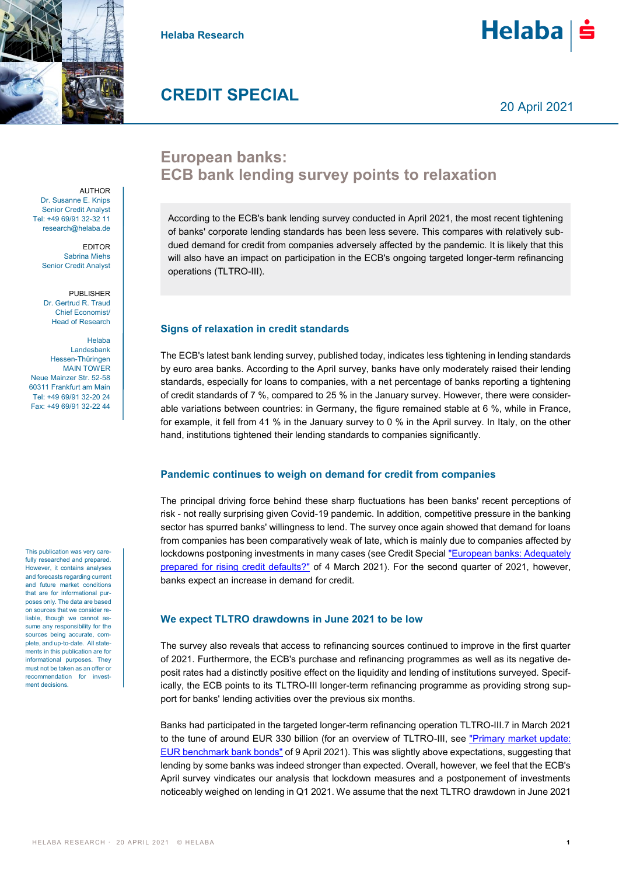

**Helaba Research**



# **CREDIT SPECIAL**

20 April 2021

## **European banks: ECB bank lending survey points to relaxation**

According to the ECB's bank lending survey conducted in April 2021, the most recent tightening of banks' corporate lending standards has been less severe. This compares with relatively subdued demand for credit from companies adversely affected by the pandemic. It is likely that this will also have an impact on participation in the ECB's ongoing targeted longer-term refinancing operations (TLTRO-III).

### **Signs of relaxation in credit standards**

The ECB's latest bank lending survey, published today, indicates less tightening in lending standards by euro area banks. According to the April survey, banks have only moderately raised their lending standards, especially for loans to companies, with a net percentage of banks reporting a tightening of credit standards of 7 %, compared to 25 % in the January survey. However, there were considerable variations between countries: in Germany, the figure remained stable at 6 %, while in France, for example, it fell from 41 % in the January survey to 0 % in the April survey. In Italy, on the other hand, institutions tightened their lending standards to companies significantly.

#### **Pandemic continues to weigh on demand for credit from companies**

The principal driving force behind these sharp fluctuations has been banks' recent perceptions of risk - not really surprising given Covid-19 pandemic. In addition, competitive pressure in the banking sector has spurred banks' willingness to lend. The survey once again showed that demand for loans from companies has been comparatively weak of late, which is mainly due to companies affected by lockdowns postponing investments in many cases (see Credit Special ["European banks: Adequately](https://www.helaba.de/blueprint/servlet/resource/blob/docs/548892/9ad0d9f8fb99c0ba87b827bf98627b9b/cs-20210310-data.pdf)  [prepared for rising credit defaults?"](https://www.helaba.de/blueprint/servlet/resource/blob/docs/548892/9ad0d9f8fb99c0ba87b827bf98627b9b/cs-20210310-data.pdf) of 4 March 2021). For the second quarter of 2021, however, banks expect an increase in demand for credit.

#### **We expect TLTRO drawdowns in June 2021 to be low**

The survey also reveals that access to refinancing sources continued to improve in the first quarter of 2021. Furthermore, the ECB's purchase and refinancing programmes as well as its negative deposit rates had a distinctly positive effect on the liquidity and lending of institutions surveyed. Specifically, the ECB points to its TLTRO-III longer-term refinancing programme as providing strong support for banks' lending activities over the previous six months.

Banks had participated in the targeted longer-term refinancing operation TLTRO-III.7 in March 2021 to the tune of around EUR 330 billion (for an overview of TLTRO-III, see "Primary market update: [EUR benchmark bank bonds"](https://www.helaba.de/blueprint/servlet/resource/blob/docs/550964/9dd6696e8547712aa92f4b1bf8c424d6/primaermarkt-update-bank-en-20210409-data.pdf) of 9 April 2021). This was slightly above expectations, suggesting that lending by some banks was indeed stronger than expected. Overall, however, we feel that the ECB's April survey vindicates our analysis that lockdown measures and a postponement of investments noticeably weighed on lending in Q1 2021. We assume that the next TLTRO drawdown in June 2021

**AUTHOR** Dr. Susanne E. Knips Senior Credit Analyst Tel: +49 69/91 32-32 11 research@helaba.de

> EDITOR Sabrina Miehs Senior Credit Analyst

PUBLISHER Dr. Gertrud R. Traud Chief Economist/ Head of Research

Helaba Landesbank Hessen-Thüringen MAIN TOWER Neue Mainzer Str. 52-58 60311 Frankfurt am Main Tel: +49 69/91 32-20 24 Fax: +49 69/91 32-22 44

This publication was very carefully researched and prepared. However, it contains analyses and forecasts regarding current and future market conditions that are for informational purposes only. The data are based on sources that we consider reliable, though we cannot assume any responsibility for the sources being accurate, complete, and up-to-date. All statements in this publication are for informational purposes. They must not be taken as an offer or recommendation for investment decisions.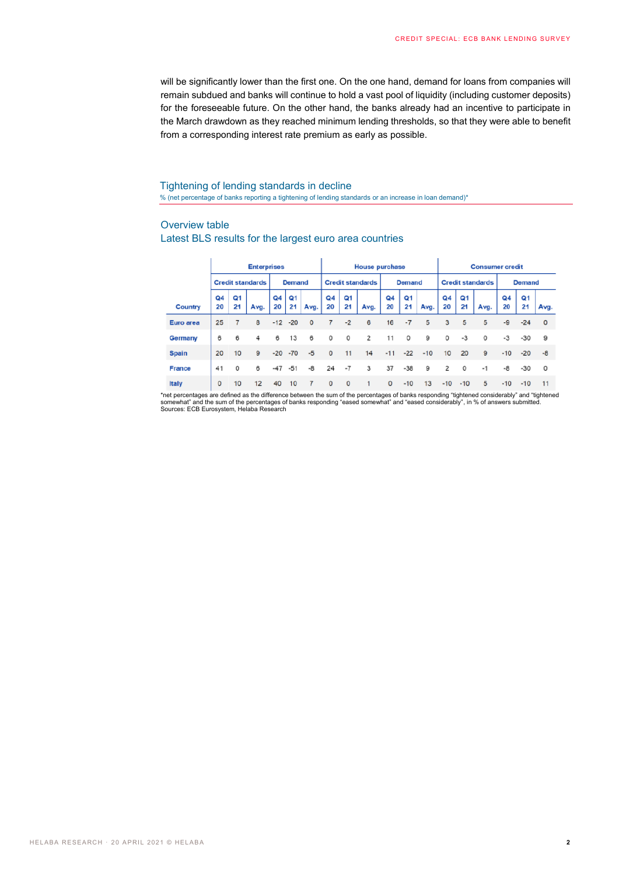will be significantly lower than the first one. On the one hand, demand for loans from companies will remain subdued and banks will continue to hold a vast pool of liquidity (including customer deposits) for the foreseeable future. On the other hand, the banks already had an incentive to participate in the March drawdown as they reached minimum lending thresholds, so that they were able to benefit from a corresponding interest rate premium as early as possible.

Tightening of lending standards in decline % (net percentage of banks reporting a tightening of lending standards or an increase in loan demand)\*

#### Overview table

#### Latest BLS results for the largest euro area countries

|                                                                                                                                               | <b>Enterprises</b>      |          |      |               |            |             |                         | <b>House purchase</b> |                |               |          |       |                         | <b>Consumer credit</b> |         |               |          |      |  |
|-----------------------------------------------------------------------------------------------------------------------------------------------|-------------------------|----------|------|---------------|------------|-------------|-------------------------|-----------------------|----------------|---------------|----------|-------|-------------------------|------------------------|---------|---------------|----------|------|--|
|                                                                                                                                               | <b>Credit standards</b> |          |      | <b>Demand</b> |            |             | <b>Credit standards</b> |                       |                | <b>Demand</b> |          |       | <b>Credit standards</b> |                        |         | <b>Demand</b> |          |      |  |
| Country                                                                                                                                       | Q4<br>20                | Q1<br>21 | Avg. | Q4<br>20      | Q1<br>21   | Avg.        | Q <sub>4</sub><br>20    | Q1<br>21              | Avg.           | Q4<br>20      | Q1<br>21 | Avg.  | Q4<br>20                | Q1<br>21               | Avg.    | Q4<br>20      | Q1<br>21 | Avg. |  |
| Euro area                                                                                                                                     | 25                      | 7        | 8    |               | $-12 - 20$ | $\mathbf 0$ | 7                       | $-2$                  | 6              | 16            | $-7$     | 5     | 3                       | 5                      | 5       | -9            | $-24$    | 0    |  |
| <b>Germany</b>                                                                                                                                | 6                       | 6        | 4    | 6             | 13         | 6           | 0                       | 0                     | $\overline{2}$ | 11            | $\circ$  | 9     | 0                       | $-3$                   | $\circ$ | $-3$          | $-30$    | 9    |  |
| <b>Spain</b>                                                                                                                                  | 20                      | 10       | 9    | $-20$         | $-70$      | $-5$        | $\circ$                 | 11                    | 14             | $-11$         | $-22$    | $-10$ | 10                      | 20                     | 9       | $-10$         | $-20$    | $-8$ |  |
| <b>France</b>                                                                                                                                 | 41                      | $\circ$  | 6    | $-47$         | $-51$      | $-8$        | 24                      | $-7$                  | 3              | 37            | $-38$    | 9     | 2                       | $\circ$                | $-1$    | -8            | $-30$    | 0    |  |
| Italy                                                                                                                                         | $\Omega$                | 10       | 12   | 40            | 10         | 7           | $\circ$                 | $\circ$               |                | $\mathbf 0$   | $-10$    | 13    | $-10$                   | $-10$                  | 5       | $-10$         | $-10$    | 11   |  |
| *net percentages are defined as the difference between the sum of the percentages of banks responding "tightened considerably" and "tightened |                         |          |      |               |            |             |                         |                       |                |               |          |       |                         |                        |         |               |          |      |  |

somewhat" and the sum of the percentages of banks responding "eased somewhat" and "eased considerably", in % of answers submitted. Sources: ECB Eurosystem, Helaba Research